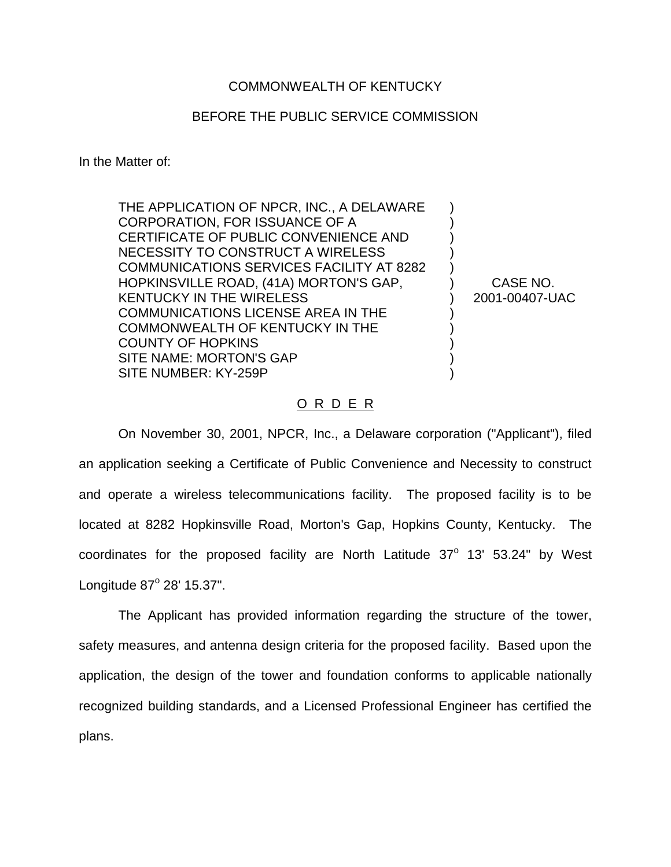## COMMONWEALTH OF KENTUCKY

## BEFORE THE PUBLIC SERVICE COMMISSION

In the Matter of:

THE APPLICATION OF NPCR, INC., A DELAWARE CORPORATION, FOR ISSUANCE OF A CERTIFICATE OF PUBLIC CONVENIENCE AND NECESSITY TO CONSTRUCT A WIRELESS COMMUNICATIONS SERVICES FACILITY AT 8282 HOPKINSVILLE ROAD, (41A) MORTON'S GAP, KENTUCKY IN THE WIRELESS COMMUNICATIONS LICENSE AREA IN THE COMMONWEALTH OF KENTUCKY IN THE COUNTY OF HOPKINS SITE NAME: MORTON'S GAP SITE NUMBER: KY-259P

CASE NO. 2001-00407-UAC

) ) ) ) ) ) ) ) ) ) ) )

## O R D E R

On November 30, 2001, NPCR, Inc., a Delaware corporation ("Applicant"), filed an application seeking a Certificate of Public Convenience and Necessity to construct and operate a wireless telecommunications facility. The proposed facility is to be located at 8282 Hopkinsville Road, Morton's Gap, Hopkins County, Kentucky. The coordinates for the proposed facility are North Latitude  $37^\circ$  13' 53.24" by West Longitude  $87^{\circ}$  28' 15.37".

The Applicant has provided information regarding the structure of the tower, safety measures, and antenna design criteria for the proposed facility. Based upon the application, the design of the tower and foundation conforms to applicable nationally recognized building standards, and a Licensed Professional Engineer has certified the plans.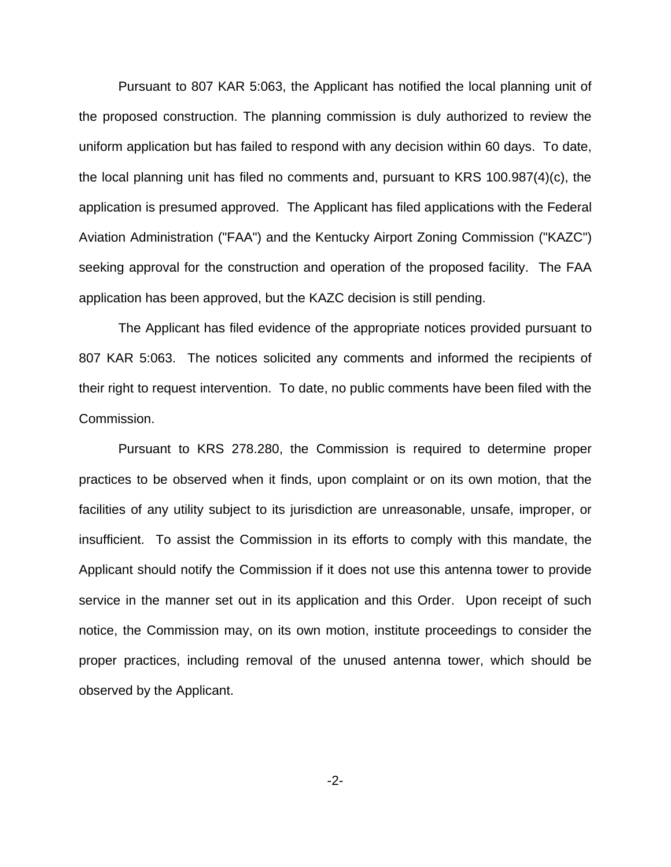Pursuant to 807 KAR 5:063, the Applicant has notified the local planning unit of the proposed construction. The planning commission is duly authorized to review the uniform application but has failed to respond with any decision within 60 days. To date, the local planning unit has filed no comments and, pursuant to KRS 100.987(4)(c), the application is presumed approved. The Applicant has filed applications with the Federal Aviation Administration ("FAA") and the Kentucky Airport Zoning Commission ("KAZC") seeking approval for the construction and operation of the proposed facility. The FAA application has been approved, but the KAZC decision is still pending.

The Applicant has filed evidence of the appropriate notices provided pursuant to 807 KAR 5:063. The notices solicited any comments and informed the recipients of their right to request intervention. To date, no public comments have been filed with the Commission.

Pursuant to KRS 278.280, the Commission is required to determine proper practices to be observed when it finds, upon complaint or on its own motion, that the facilities of any utility subject to its jurisdiction are unreasonable, unsafe, improper, or insufficient. To assist the Commission in its efforts to comply with this mandate, the Applicant should notify the Commission if it does not use this antenna tower to provide service in the manner set out in its application and this Order. Upon receipt of such notice, the Commission may, on its own motion, institute proceedings to consider the proper practices, including removal of the unused antenna tower, which should be observed by the Applicant.

-2-